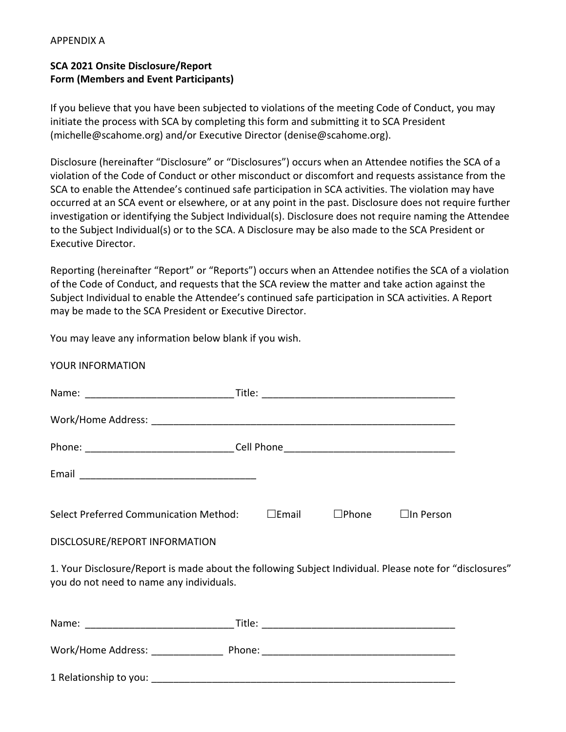## APPENDIX A

## **SCA 2021 Onsite Disclosure/Report Form (Members and Event Participants)**

If you believe that you have been subjected to violations of the meeting Code of Conduct, you may initiate the process with SCA by completing this form and submitting it to SCA President (michelle@scahome.org) and/or Executive Director (denise@scahome.org).

Disclosure (hereinafter "Disclosure" or "Disclosures") occurs when an Attendee notifies the SCA of a violation of the Code of Conduct or other misconduct or discomfort and requests assistance from the SCA to enable the Attendee's continued safe participation in SCA activities. The violation may have occurred at an SCA event or elsewhere, or at any point in the past. Disclosure does not require further investigation or identifying the Subject Individual(s). Disclosure does not require naming the Attendee to the Subject Individual(s) or to the SCA. A Disclosure may be also made to the SCA President or Executive Director.

Reporting (hereinafter "Report" or "Reports") occurs when an Attendee notifies the SCA of a violation of the Code of Conduct, and requests that the SCA review the matter and take action against the Subject Individual to enable the Attendee's continued safe participation in SCA activities. A Report may be made to the SCA President or Executive Director.

You may leave any information below blank if you wish.

YOUR INFORMATION

| Phone: __________________________________Cell Phone _____________________________                                                                   |  |  |  |
|-----------------------------------------------------------------------------------------------------------------------------------------------------|--|--|--|
|                                                                                                                                                     |  |  |  |
| Select Preferred Communication Method: DEmail DPhone DIn Person                                                                                     |  |  |  |
| DISCLOSURE/REPORT INFORMATION                                                                                                                       |  |  |  |
| 1. Your Disclosure/Report is made about the following Subject Individual. Please note for "disclosures"<br>you do not need to name any individuals. |  |  |  |
|                                                                                                                                                     |  |  |  |
|                                                                                                                                                     |  |  |  |

1 Relationship to you: \_\_\_\_\_\_\_\_\_\_\_\_\_\_\_\_\_\_\_\_\_\_\_\_\_\_\_\_\_\_\_\_\_\_\_\_\_\_\_\_\_\_\_\_\_\_\_\_\_\_\_\_\_\_\_